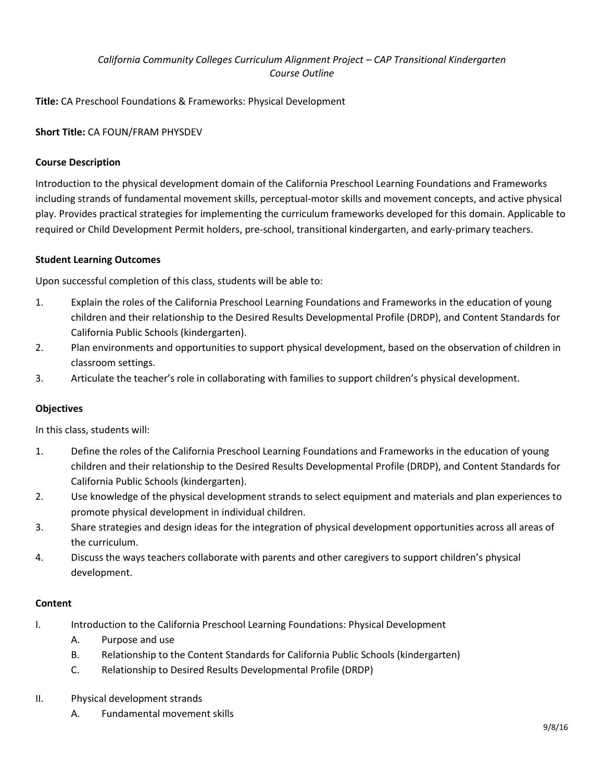# *California Community Colleges Curriculum Alignment Project – CAP Transitional Kindergarten Course Outline*

**Title:** CA Preschool Foundations & Frameworks: Physical Development

**Short Title:** CA FOUN/FRAM PHYSDEV

## **Course Description**

Introduction to the physical development domain of the California Preschool Learning Foundations and Frameworks including strands of fundamental movement skills, perceptual-motor skills and movement concepts, and active physical play. Provides practical strategies for implementing the curriculum frameworks developed for this domain. Applicable to required or Child Development Permit holders, pre-school, transitional kindergarten, and early-primary teachers.

### **Student Learning Outcomes**

Upon successful completion of this class, students will be able to:

- 1. Explain the roles of the California Preschool Learning Foundations and Frameworks in the education of young children and their relationship to the Desired Results Developmental Profile (DRDP), and Content Standards for California Public Schools (kindergarten).
- 2. Plan environments and opportunities to support physical development, based on the observation of children in classroom settings.
- 3. Articulate the teacher's role in collaborating with families to support children's physical development.

### **Objectives**

In this class, students will:

- 1. Define the roles of the California Preschool Learning Foundations and Frameworks in the education of young children and their relationship to the Desired Results Developmental Profile (DRDP), and Content Standards for California Public Schools (kindergarten).
- 2. Use knowledge of the physical development strands to select equipment and materials and plan experiences to promote physical development in individual children.
- 3. Share strategies and design ideas for the integration of physical development opportunities across all areas of the curriculum.
- 4. Discuss the ways teachers collaborate with parents and other caregivers to support children's physical development.

### **Content**

- I. Introduction to the California Preschool Learning Foundations: Physical Development
	- A. Purpose and use
	- B. Relationship to the Content Standards for California Public Schools (kindergarten)
	- C. Relationship to Desired Results Developmental Profile (DRDP)
- II. Physical development strands
	- A. Fundamental movement skills